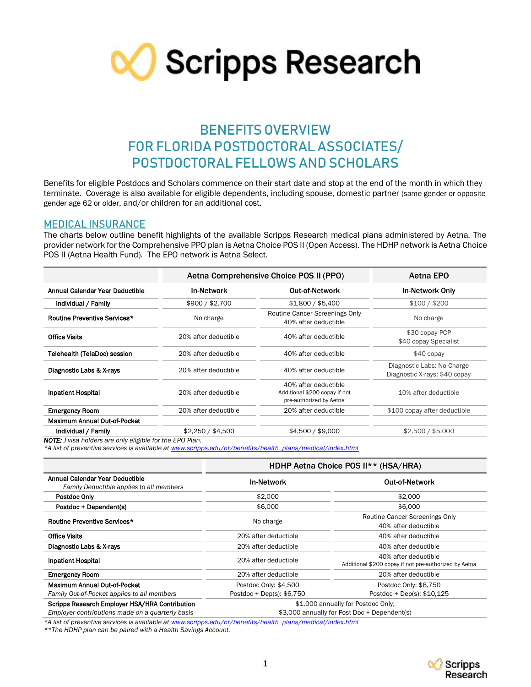

# **BENEFITS OVERVIEW FOR FLORIDA POSTDOCTORAL ASSOCIATES/ POSTDOCTORAL FELLOWS AND SCHOLARS**

Benefits for eligible Postdocs and Scholars commence on their start date and stop at the end of the month in which they terminate. Coverage is also available for eligible dependents, including spouse, domestic partner (same gender or opposite gender age 62 or older, and/or children for an additional cost.

## **MEDICAL INSURANCE**

The charts below outline benefit highlights of the available Scripps Research medical plans administered by Aetna. The provider network for the Comprehensive PPO plan is Aetna Choice POS II (Open Access). The HDHP network is Aetna Choice POS II (Aetna Health Fund). The EPO network is Aetna Select.

|                                                                 |                      | Aetna Comprehensive Choice POS II (PPO)                                          | Aetna EPO                                                   |  |
|-----------------------------------------------------------------|----------------------|----------------------------------------------------------------------------------|-------------------------------------------------------------|--|
| Annual Calendar Year Deductible                                 | <b>In-Network</b>    | <b>Out-of-Network</b>                                                            | <b>In-Network Only</b>                                      |  |
| Individual / Family                                             | \$900 / \$2,700      | \$1,800 / \$5,400                                                                | \$100 / \$200                                               |  |
| Routine Preventive Services*                                    | No charge            | Routine Cancer Screenings Only<br>40% after deductible                           | No charge                                                   |  |
| <b>Office Visits</b>                                            | 20% after deductible | 40% after deductible                                                             | \$30 copay PCP<br>\$40 copay Specialist                     |  |
| Telehealth (TelaDoc) session                                    | 20% after deductible | 40% after deductible                                                             | $$40$ copay                                                 |  |
| Diagnostic Labs & X-rays                                        | 20% after deductible | 40% after deductible                                                             | Diagnostic Labs: No Charge<br>Diagnostic X-rays: \$40 copay |  |
| <b>Inpatient Hospital</b>                                       | 20% after deductible | 40% after deductible<br>Additional \$200 copay if not<br>pre-authorized by Aetna | 10% after deductible                                        |  |
| <b>Emergency Room</b>                                           | 20% after deductible | 20% after deductible                                                             | \$100 copay after deductible                                |  |
| Maximum Annual Out-of-Pocket                                    |                      |                                                                                  |                                                             |  |
| Individual / Family                                             | \$2,250 / \$4,500    | \$4,500 / \$9,000                                                                | \$2,500 / \$5,000                                           |  |
| <b>NOTE:</b> J visa holders are only eligible for the EPO Plan. |                      |                                                                                  |                                                             |  |

*\*A list of preventive services is available a[t www.scripps.edu/hr/benefits/health\\_plans/medical/index.html](http://www.scripps.edu/hr/benefits/health_plans/medical/index.html)*

|                                                                                                    | HDHP Aetna Choice POS II** (HSA/HRA)                                               |                                                                               |  |  |
|----------------------------------------------------------------------------------------------------|------------------------------------------------------------------------------------|-------------------------------------------------------------------------------|--|--|
| Annual Calendar Year Deductible<br>Family Deductible applies to all members                        | <b>In-Network</b>                                                                  | <b>Out-of-Network</b>                                                         |  |  |
| Postdoc Only                                                                                       | \$2,000                                                                            | \$2,000                                                                       |  |  |
| Postdoc + Dependent(s)                                                                             | \$6,000                                                                            | \$6,000                                                                       |  |  |
| Routine Preventive Services*                                                                       | No charge                                                                          | Routine Cancer Screenings Only<br>40% after deductible                        |  |  |
| <b>Office Visits</b>                                                                               | 20% after deductible                                                               | 40% after deductible                                                          |  |  |
| Diagnostic Labs & X-rays                                                                           | 20% after deductible                                                               | 40% after deductible                                                          |  |  |
| <b>Inpatient Hospital</b>                                                                          | 20% after deductible                                                               | 40% after deductible<br>Additional \$200 copay if not pre-authorized by Aetna |  |  |
| <b>Emergency Room</b>                                                                              | 20% after deductible                                                               | 20% after deductible                                                          |  |  |
| Maximum Annual Out-of-Pocket                                                                       | Postdoc Only: \$4,500                                                              | Postdoc Only: \$6,750                                                         |  |  |
| Family Out-of-Pocket applies to all members                                                        | Postdoc + Dep(s): $$6,750$                                                         | Postdoc + Dep(s): \$10,125                                                    |  |  |
| Scripps Research Employer HSA/HRA Contribution<br>Employer contributions made on a quarterly basis | \$1,000 annually for Postdoc Only;<br>\$3,000 annually for Post Doc + Dependent(s) |                                                                               |  |  |

*\*A list of preventive services is available a[t www.scripps.edu/hr/benefits/health\\_plans/medical/index.html](http://www.scripps.edu/hr/benefits/health_plans/medical/index.html)*

*\*\*The HDHP plan can be paired with a Health Savings Account.*

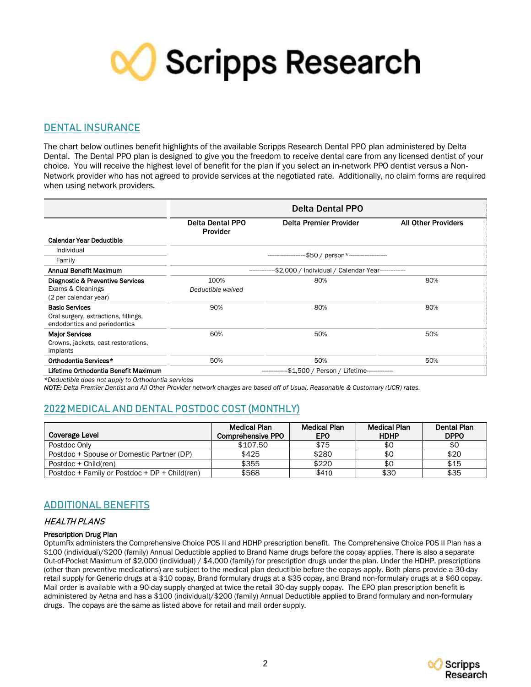

## **DENTAL INSURANCE**

The chart below outlines benefit highlights of the available Scripps Research Dental PPO plan administered by Delta Dental. The Dental PPO plan is designed to give you the freedom to receive dental care from any licensed dentist of your choice. You will receive the highest level of benefit for the plan if you select an in-network PPO dentist versus a Non-Network provider who has not agreed to provide services at the negotiated rate. Additionally, no claim forms are required when using network providers.

|                                                                                               | <b>Delta Dental PPO</b>                                 |                        |                            |  |
|-----------------------------------------------------------------------------------------------|---------------------------------------------------------|------------------------|----------------------------|--|
|                                                                                               | <b>Delta Dental PPO</b><br>Provider                     | Delta Premier Provider | <b>All Other Providers</b> |  |
| <b>Calendar Year Deductible</b>                                                               |                                                         |                        |                            |  |
| Individual                                                                                    |                                                         |                        |                            |  |
| Family                                                                                        | -\$50 / person*---------------------                    |                        |                            |  |
| Annual Benefit Maximum                                                                        | -\$2,000 / Individual / Calendar Year-------------      |                        |                            |  |
| Diagnostic & Preventive Services<br>Exams & Cleanings<br>(2 per calendar year)                | 100%<br>Deductible waived                               | 80%                    | 80%                        |  |
| <b>Basic Services</b><br>Oral surgery, extractions, fillings,<br>endodontics and periodontics | 90%                                                     | 80%                    | 80%                        |  |
| <b>Major Services</b><br>Crowns, jackets, cast restorations,<br>implants                      | 60%                                                     | 50%                    | 50%                        |  |
| Orthodontia Services*                                                                         | 50%                                                     | 50%                    | 50%                        |  |
| Lifetime Orthodontia Benefit Maximum                                                          | --------------\$1,500 / Person / Lifetime-------------- |                        |                            |  |

*\*Deductible does not apply to Orthodontia services*

*NOTE: Delta Premier Dentist and All Other Provider network charges are based off of Usual, Reasonable & Customary (UCR) rates.* 

## **202**2 **MEDICAL AND DENTAL POSTDOC COST (MONTHLY)**

| Coverage Level                                  | <b>Medical Plan</b><br>Comprehensive PPO | Medical Plan<br><b>EPO</b> | <b>Medical Plan</b><br><b>HDHP</b> | Dental Plan<br><b>DPPO</b> |
|-------------------------------------------------|------------------------------------------|----------------------------|------------------------------------|----------------------------|
| Postdoc Only                                    | \$107.50                                 | \$75                       | \$0                                | \$0                        |
| Postdoc + Spouse or Domestic Partner (DP)       | \$425                                    | \$280                      | \$0                                | \$20                       |
| Postdoc + Child(ren)                            | \$355                                    | \$220                      | \$0                                | \$15                       |
| Postdoc + Family or Postdoc + $DP$ + Child(ren) | \$568                                    | \$410                      | \$30                               | \$35                       |

## **ADDITIONAL BENEFITS**

## HEALTH PLANS

## Prescription Drug Plan

OptumRx administers the Comprehensive Choice POS II and HDHP prescription benefit. The Comprehensive Choice POS II Plan has a \$100 (individual)/\$200 (family) Annual Deductible applied to Brand Name drugs before the copay applies. There is also a separate Out-of-Pocket Maximum of \$2,000 (individual) / \$4,000 (family) for prescription drugs under the plan. Under the HDHP, prescriptions (other than preventive medications) are subject to the medical plan deductible before the copays apply. Both plans provide a 30-day retail supply for Generic drugs at a \$10 copay, Brand formulary drugs at a \$35 copay, and Brand non-formulary drugs at a \$60 copay. Mail order is available with a 90-day supply charged at twice the retail 30-day supply copay. The EPO plan prescription benefit is administered by Aetna and has a \$100 (individual)/\$200 (family) Annual Deductible applied to Brand formulary and non-formulary drugs. The copays are the same as listed above for retail and mail order supply.

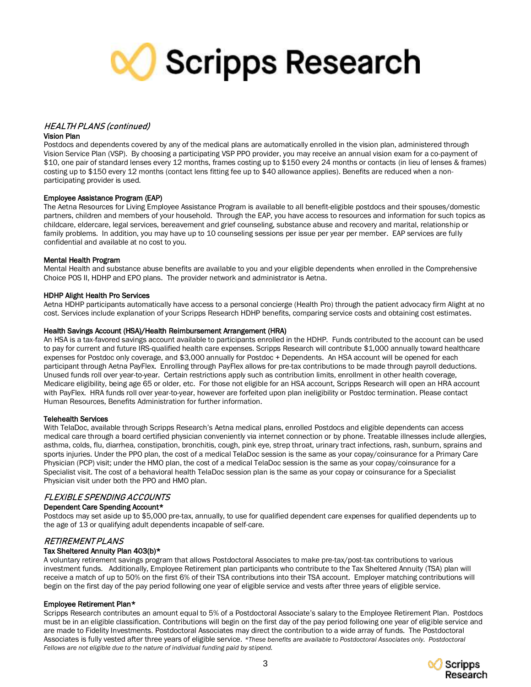

## HEALTH PLANS (continued)

## Vision Plan

Postdocs and dependents covered by any of the medical plans are automatically enrolled in the vision plan, administered through Vision Service Plan (VSP). By choosing a participating VSP PPO provider, you may receive an annual vision exam for a co-payment of \$10, one pair of standard lenses every 12 months, frames costing up to \$150 every 24 months or contacts (in lieu of lenses & frames) costing up to \$150 every 12 months (contact lens fitting fee up to \$40 allowance applies). Benefits are reduced when a nonparticipating provider is used.

## Employee Assistance Program (EAP)

The Aetna Resources for Living Employee Assistance Program is available to all benefit-eligible postdocs and their spouses/domestic partners, children and members of your household. Through the EAP, you have access to resources and information for such topics as childcare, eldercare, legal services, bereavement and grief counseling, substance abuse and recovery and marital, relationship or family problems. In addition, you may have up to 10 counseling sessions per issue per year per member. EAP services are fully confidential and available at no cost to you.

## Mental Health Program

Mental Health and substance abuse benefits are available to you and your eligible dependents when enrolled in the Comprehensive Choice POS II, HDHP and EPO plans. The provider network and administrator is Aetna.

## HDHP Alight Health Pro Services

Aetna HDHP participants automatically have access to a personal concierge (Health Pro) through the patient advocacy firm Alight at no cost. Services include explanation of your Scripps Research HDHP benefits, comparing service costs and obtaining cost estimates.

## Health Savings Account (HSA)/Health Reimbursement Arrangement (HRA)

An HSA is a tax-favored savings account available to participants enrolled in the HDHP. Funds contributed to the account can be used to pay for current and future IRS-qualified health care expenses. Scripps Research will contribute \$1,000 annually toward healthcare expenses for Postdoc only coverage, and \$3,000 annually for Postdoc + Dependents. An HSA account will be opened for each participant through Aetna PayFlex. Enrolling through PayFlex allows for pre-tax contributions to be made through payroll deductions. Unused funds roll over year-to-year. Certain restrictions apply such as contribution limits, enrollment in other health coverage, Medicare eligibility, being age 65 or older, etc. For those not eligible for an HSA account, Scripps Research will open an HRA account with PayFlex. HRA funds roll over year-to-year, however are forfeited upon plan ineligibility or Postdoc termination. Please contact Human Resources, Benefits Administration for further information.

## Telehealth Services

With TelaDoc, available through Scripps Research's Aetna medical plans, enrolled Postdocs and eligible dependents can access medical care through a board certified physician conveniently via internet connection or by phone. Treatable illnesses include allergies, asthma, colds, flu, diarrhea, constipation, bronchitis, cough, pink eye, strep throat, urinary tract infections, rash, sunburn, sprains and sports injuries. Under the PPO plan, the cost of a medical TelaDoc session is the same as your copay/coinsurance for a Primary Care Physician (PCP) visit; under the HMO plan, the cost of a medical TelaDoc session is the same as your copay/coinsurance for a Specialist visit. The cost of a behavioral health TelaDoc session plan is the same as your copay or coinsurance for a Specialist Physician visit under both the PPO and HMO plan.

## FLEXIBLE SPENDING ACCOUNTS

## Dependent Care Spending Account\*

Postdocs may set aside up to \$5,000 pre-tax, annually, to use for qualified dependent care expenses for qualified dependents up to the age of 13 or qualifying adult dependents incapable of self-care.

## **RETIREMENT PLANS** Tax Sheltered Annuity Plan 403(b)\*

A voluntary retirement savings program that allows Postdoctoral Associates to make pre-tax/post-tax contributions to various investment funds. Additionally, Employee Retirement plan participants who contribute to the Tax Sheltered Annuity (TSA) plan will receive a match of up to 50% on the first 6% of their TSA contributions into their TSA account. Employer matching contributions will begin on the first day of the pay period following one year of eligible service and vests after three years of eligible service.

## Employee Retirement Plan\*

Scripps Research contributes an amount equal to 5% of a Postdoctoral Associate's salary to the Employee Retirement Plan. Postdocs must be in an eligible classification. Contributions will begin on the first day of the pay period following one year of eligible service and are made to Fidelity Investments. Postdoctoral Associates may direct the contribution to a wide array of funds. The Postdoctoral Associates is fully vested after three years of eligible service. *\*These benefits are available to Postdoctoral Associates only. Postdoctoral Fellows are not eligible due to the nature of individual funding paid by stipend.*